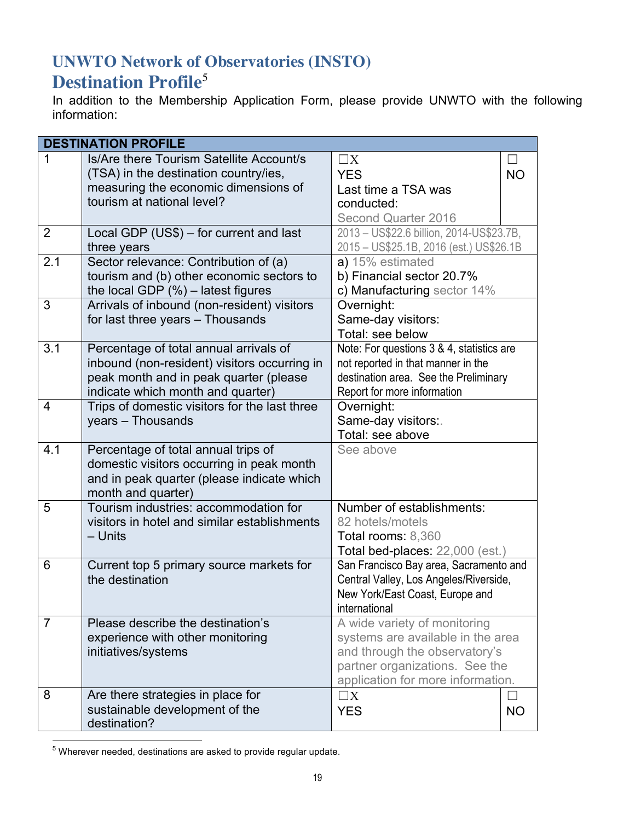## **UNWTO Network of Observatories (INSTO)**

## **Destination Profile**<sup>5</sup>

In addition to the Membership Application Form, please provide UNWTO with the following information:

| <b>DESTINATION PROFILE</b>                          |                                               |                                           |           |  |  |
|-----------------------------------------------------|-----------------------------------------------|-------------------------------------------|-----------|--|--|
| 1                                                   | Is/Are there Tourism Satellite Account/s      | $\square X$                               |           |  |  |
|                                                     | (TSA) in the destination country/ies,         | <b>YES</b>                                | <b>NO</b> |  |  |
|                                                     | measuring the economic dimensions of          | Last time a TSA was                       |           |  |  |
|                                                     | tourism at national level?                    | conducted:                                |           |  |  |
|                                                     |                                               | Second Quarter 2016                       |           |  |  |
| $\overline{2}$                                      | Local GDP (US\$) - for current and last       | 2013 - US\$22.6 billion, 2014-US\$23.7B,  |           |  |  |
|                                                     | three years                                   | 2015 - US\$25.1B, 2016 (est.) US\$26.1B   |           |  |  |
| 2.1                                                 | Sector relevance: Contribution of (a)         | a) 15% estimated                          |           |  |  |
|                                                     | tourism and (b) other economic sectors to     | b) Financial sector 20.7%                 |           |  |  |
|                                                     | the local GDP $(\%)$ – latest figures         | c) Manufacturing sector 14%               |           |  |  |
| 3                                                   | Arrivals of inbound (non-resident) visitors   | Overnight:                                |           |  |  |
|                                                     | for last three years - Thousands              | Same-day visitors:                        |           |  |  |
|                                                     |                                               | Total: see below                          |           |  |  |
| 3.1                                                 | Percentage of total annual arrivals of        | Note: For questions 3 & 4, statistics are |           |  |  |
|                                                     | inbound (non-resident) visitors occurring in  | not reported in that manner in the        |           |  |  |
|                                                     | peak month and in peak quarter (please        | destination area. See the Preliminary     |           |  |  |
|                                                     | indicate which month and quarter)             | Report for more information               |           |  |  |
| 4                                                   | Trips of domestic visitors for the last three | Overnight:                                |           |  |  |
|                                                     | years - Thousands                             | Same-day visitors:.                       |           |  |  |
|                                                     |                                               | Total: see above                          |           |  |  |
| 4.1                                                 | Percentage of total annual trips of           | See above                                 |           |  |  |
|                                                     | domestic visitors occurring in peak month     |                                           |           |  |  |
|                                                     | and in peak quarter (please indicate which    |                                           |           |  |  |
|                                                     | month and quarter)                            |                                           |           |  |  |
| 5                                                   | Tourism industries: accommodation for         | Number of establishments:                 |           |  |  |
|                                                     | visitors in hotel and similar establishments  | 82 hotels/motels                          |           |  |  |
|                                                     | - Units                                       | Total rooms: 8,360                        |           |  |  |
|                                                     |                                               | Total bed-places: 22,000 (est.)           |           |  |  |
| 6                                                   | Current top 5 primary source markets for      | San Francisco Bay area, Sacramento and    |           |  |  |
|                                                     | the destination                               | Central Valley, Los Angeles/Riverside,    |           |  |  |
|                                                     |                                               | New York/East Coast, Europe and           |           |  |  |
|                                                     |                                               | international                             |           |  |  |
| $\overline{7}$<br>Please describe the destination's |                                               | A wide variety of monitoring              |           |  |  |
|                                                     | experience with other monitoring              | systems are available in the area         |           |  |  |
|                                                     | initiatives/systems                           | and through the observatory's             |           |  |  |
|                                                     |                                               | partner organizations. See the            |           |  |  |
|                                                     |                                               | application for more information.         |           |  |  |
| 8                                                   | Are there strategies in place for             | $\Box X$                                  |           |  |  |
|                                                     | sustainable development of the                | <b>YES</b>                                | <b>NO</b> |  |  |
|                                                     | destination?                                  |                                           |           |  |  |

 $5$  Wherever needed, destinations are asked to provide regular update.